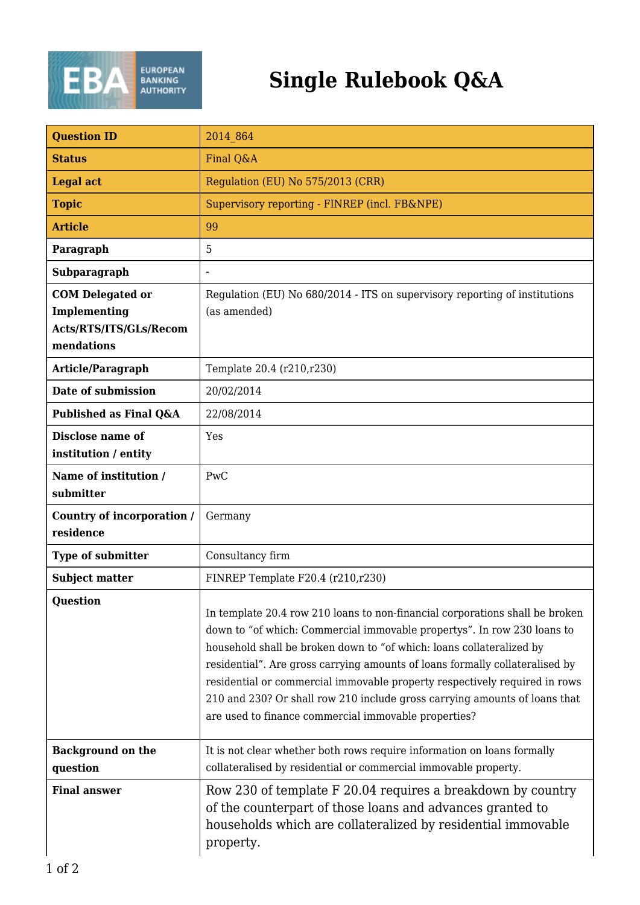

## **Single Rulebook Q&A**

| <b>Question ID</b>                       | 2014 864                                                                                                                                                                                                                                                                                                                                                                                                                                                                                                                            |
|------------------------------------------|-------------------------------------------------------------------------------------------------------------------------------------------------------------------------------------------------------------------------------------------------------------------------------------------------------------------------------------------------------------------------------------------------------------------------------------------------------------------------------------------------------------------------------------|
| <b>Status</b>                            | Final Q&A                                                                                                                                                                                                                                                                                                                                                                                                                                                                                                                           |
| <b>Legal act</b>                         | Regulation (EU) No 575/2013 (CRR)                                                                                                                                                                                                                                                                                                                                                                                                                                                                                                   |
| <b>Topic</b>                             | Supervisory reporting - FINREP (incl. FB&NPE)                                                                                                                                                                                                                                                                                                                                                                                                                                                                                       |
| <b>Article</b>                           | 99                                                                                                                                                                                                                                                                                                                                                                                                                                                                                                                                  |
| Paragraph                                | 5                                                                                                                                                                                                                                                                                                                                                                                                                                                                                                                                   |
| Subparagraph                             | $\overline{\phantom{a}}$                                                                                                                                                                                                                                                                                                                                                                                                                                                                                                            |
| <b>COM</b> Delegated or<br>Implementing  | Regulation (EU) No 680/2014 - ITS on supervisory reporting of institutions<br>(as amended)                                                                                                                                                                                                                                                                                                                                                                                                                                          |
| Acts/RTS/ITS/GLs/Recom<br>mendations     |                                                                                                                                                                                                                                                                                                                                                                                                                                                                                                                                     |
| Article/Paragraph                        | Template 20.4 (r210,r230)                                                                                                                                                                                                                                                                                                                                                                                                                                                                                                           |
| Date of submission                       | 20/02/2014                                                                                                                                                                                                                                                                                                                                                                                                                                                                                                                          |
| Published as Final Q&A                   | 22/08/2014                                                                                                                                                                                                                                                                                                                                                                                                                                                                                                                          |
| Disclose name of<br>institution / entity | Yes                                                                                                                                                                                                                                                                                                                                                                                                                                                                                                                                 |
| Name of institution /<br>submitter       | PwC                                                                                                                                                                                                                                                                                                                                                                                                                                                                                                                                 |
| Country of incorporation /<br>residence  | Germany                                                                                                                                                                                                                                                                                                                                                                                                                                                                                                                             |
| <b>Type of submitter</b>                 | Consultancy firm                                                                                                                                                                                                                                                                                                                                                                                                                                                                                                                    |
| <b>Subject matter</b>                    | FINREP Template F20.4 (r210,r230)                                                                                                                                                                                                                                                                                                                                                                                                                                                                                                   |
| Question                                 | In template 20.4 row 210 loans to non-financial corporations shall be broken<br>down to "of which: Commercial immovable propertys". In row 230 loans to<br>household shall be broken down to "of which: loans collateralized by<br>residential". Are gross carrying amounts of loans formally collateralised by<br>residential or commercial immovable property respectively required in rows<br>210 and 230? Or shall row 210 include gross carrying amounts of loans that<br>are used to finance commercial immovable properties? |
| <b>Background on the</b><br>question     | It is not clear whether both rows require information on loans formally<br>collateralised by residential or commercial immovable property.                                                                                                                                                                                                                                                                                                                                                                                          |
| <b>Final answer</b>                      | Row 230 of template F 20.04 requires a breakdown by country<br>of the counterpart of those loans and advances granted to<br>households which are collateralized by residential immovable<br>property.                                                                                                                                                                                                                                                                                                                               |